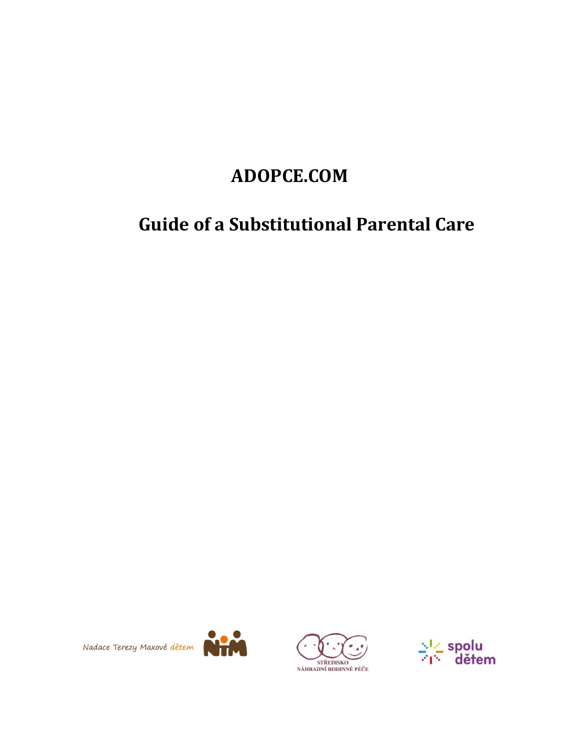# **ADOPCE.COM**

# **Guide of a Substitutional Parental Care**







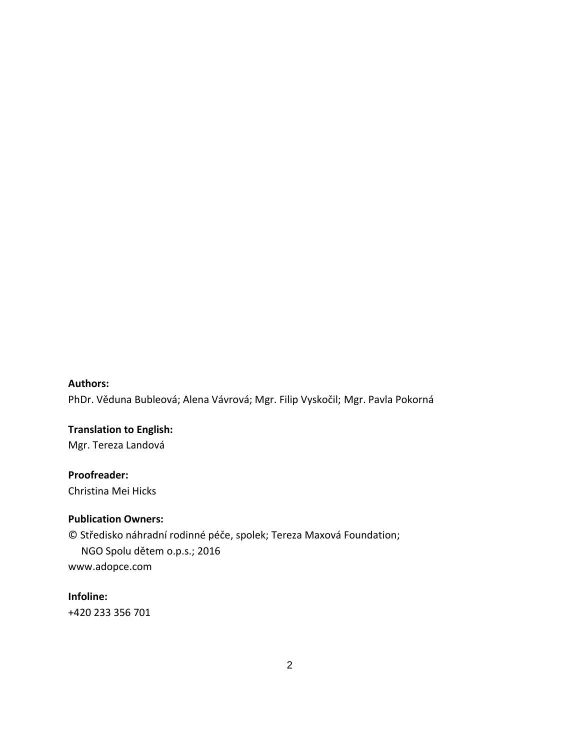#### **Authors:**

PhDr. Věduna Bubleová; Alena Vávrová; Mgr. Filip Vyskočil; Mgr. Pavla Pokorná

**Translation to English:** Mgr. Tereza Landová

**Proofreader:** Christina Mei Hicks

### **Publication Owners:**

© Středisko náhradní rodinné péče, spolek; Tereza Maxová Foundation; NGO Spolu dětem o.p.s.; 2016 www.adopce.com

**Infoline:**

+420 233 356 701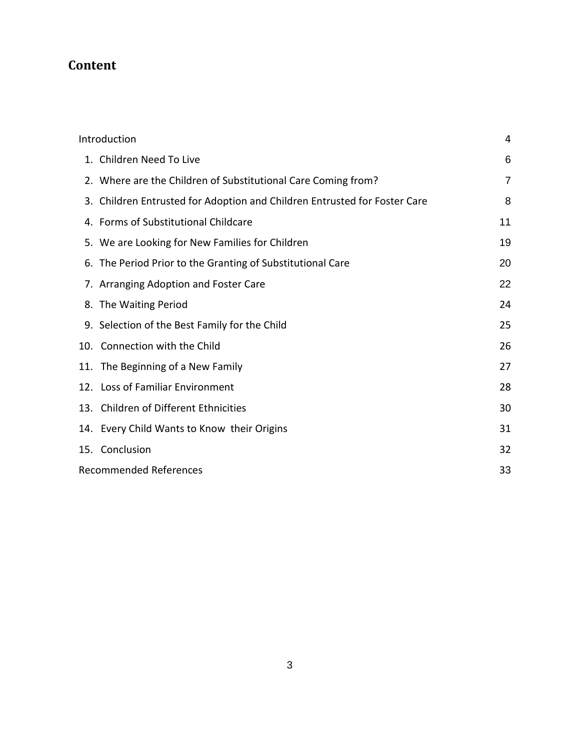# **Content**

| Introduction                  |                                                                           |    |  |
|-------------------------------|---------------------------------------------------------------------------|----|--|
|                               | 1. Children Need To Live                                                  | 6  |  |
|                               | 2. Where are the Children of Substitutional Care Coming from?             | 7  |  |
|                               | 3. Children Entrusted for Adoption and Children Entrusted for Foster Care | 8  |  |
|                               | 4. Forms of Substitutional Childcare                                      | 11 |  |
|                               | 5. We are Looking for New Families for Children                           | 19 |  |
|                               | 6. The Period Prior to the Granting of Substitutional Care                | 20 |  |
|                               | 7. Arranging Adoption and Foster Care                                     | 22 |  |
|                               | 8. The Waiting Period                                                     | 24 |  |
|                               | 9. Selection of the Best Family for the Child                             | 25 |  |
|                               | 10. Connection with the Child                                             | 26 |  |
|                               | 11. The Beginning of a New Family                                         | 27 |  |
|                               | 12. Loss of Familiar Environment                                          | 28 |  |
|                               | 13. Children of Different Ethnicities                                     | 30 |  |
|                               | 14. Every Child Wants to Know their Origins                               | 31 |  |
|                               | 15. Conclusion                                                            | 32 |  |
| <b>Recommended References</b> |                                                                           |    |  |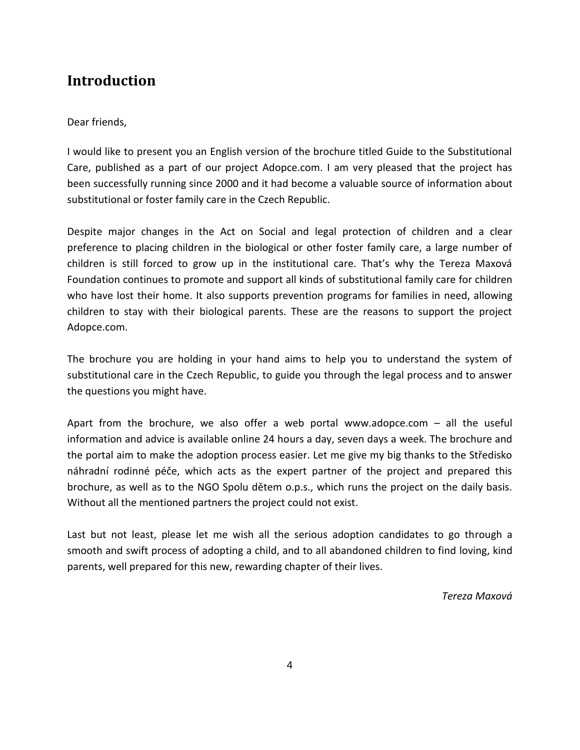# <span id="page-3-0"></span>**Introduction**

## Dear friends,

I would like to present you an English version of the brochure titled Guide to the Substitutional Care, published as a part of our project Adopce.com. I am very pleased that the project has been successfully running since 2000 and it had become a valuable source of information about substitutional or foster family care in the Czech Republic.

Despite major changes in the Act on Social and legal protection of children and a clear preference to placing children in the biological or other foster family care, a large number of children is still forced to grow up in the institutional care. That's why the Tereza Maxová Foundation continues to promote and support all kinds of substitutional family care for children who have lost their home. It also supports prevention programs for families in need, allowing children to stay with their biological parents. These are the reasons to support the project Adopce.com.

The brochure you are holding in your hand aims to help you to understand the system of substitutional care in the Czech Republic, to guide you through the legal process and to answer the questions you might have.

Apart from the brochure, we also offer a web portal [www.adopce.com](http://www.adopce.com/)  $-$  all the useful information and advice is available online 24 hours a day, seven days a week. The brochure and the portal aim to make the adoption process easier. Let me give my big thanks to the Středisko náhradní rodinné péče, which acts as the expert partner of the project and prepared this brochure, as well as to the NGO Spolu dětem o.p.s., which runs the project on the daily basis. Without all the mentioned partners the project could not exist.

Last but not least, please let me wish all the serious adoption candidates to go through a smooth and swift process of adopting a child, and to all abandoned children to find loving, kind parents, well prepared for this new, rewarding chapter of their lives.

*Tereza Maxová*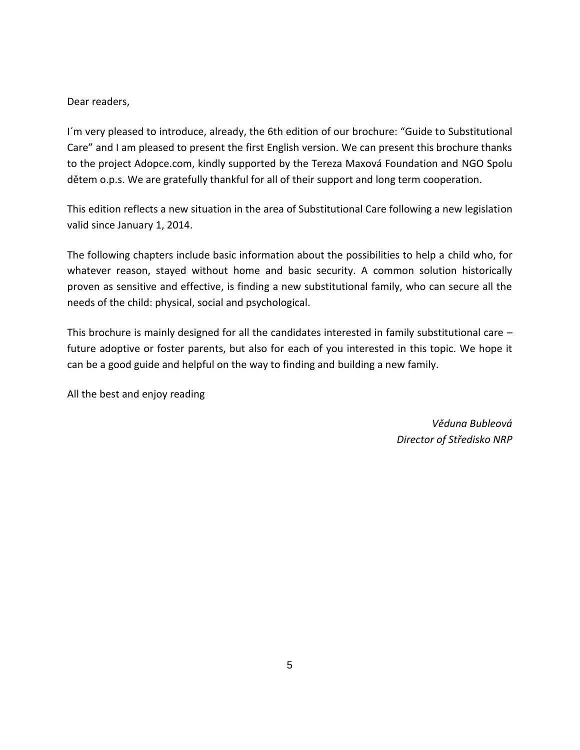### Dear readers,

I´m very pleased to introduce, already, the 6th edition of our brochure: "Guide to Substitutional Care" and I am pleased to present the first English version. We can present this brochure thanks to the project Adopce.com, kindly supported by the Tereza Maxová Foundation and NGO Spolu dětem o.p.s. We are gratefully thankful for all of their support and long term cooperation.

This edition reflects a new situation in the area of Substitutional Care following a new legislation valid since January 1, 2014.

The following chapters include basic information about the possibilities to help a child who, for whatever reason, stayed without home and basic security. A common solution historically proven as sensitive and effective, is finding a new substitutional family, who can secure all the needs of the child: physical, social and psychological.

This brochure is mainly designed for all the candidates interested in family substitutional care – future adoptive or foster parents, but also for each of you interested in this topic. We hope it can be a good guide and helpful on the way to finding and building a new family.

All the best and enjoy reading

*Věduna Bubleová Director of Středisko NRP*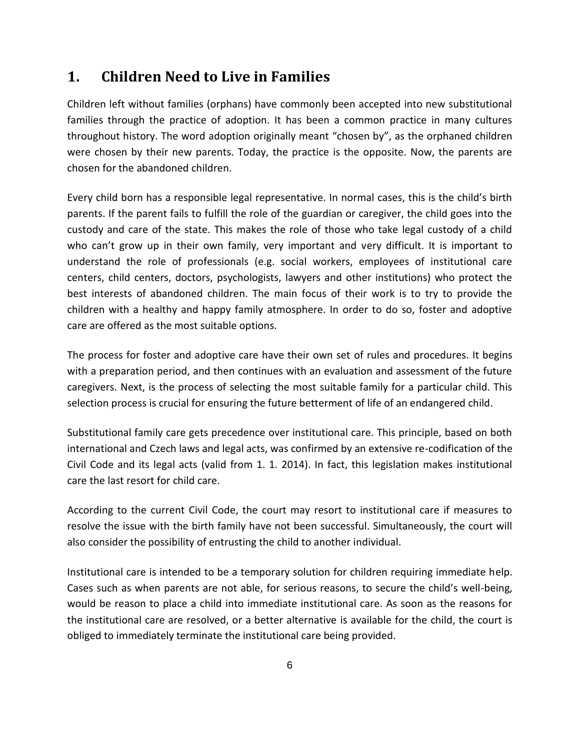# **1. Children Need to Live in Families**

Children left without families (orphans) have commonly been accepted into new substitutional families through the practice of adoption. It has been a common practice in many cultures throughout history. The word adoption originally meant "chosen by", as the orphaned children were chosen by their new parents. Today, the practice is the opposite. Now, the parents are chosen for the abandoned children.

Every child born has a responsible legal representative. In normal cases, this is the child's birth parents. If the parent fails to fulfill the role of the guardian or caregiver, the child goes into the custody and care of the state. This makes the role of those who take legal custody of a child who can't grow up in their own family, very important and very difficult. It is important to understand the role of professionals (e.g. social workers, employees of institutional care centers, child centers, doctors, psychologists, lawyers and other institutions) who protect the best interests of abandoned children. The main focus of their work is to try to provide the children with a healthy and happy family atmosphere. In order to do so, foster and adoptive care are offered as the most suitable options.

The process for foster and adoptive care have their own set of rules and procedures. It begins with a preparation period, and then continues with an evaluation and assessment of the future caregivers. Next, is the process of selecting the most suitable family for a particular child. This selection process is crucial for ensuring the future betterment of life of an endangered child.

Substitutional family care gets precedence over institutional care. This principle, based on both international and Czech laws and legal acts, was confirmed by an extensive re-codification of the Civil Code and its legal acts (valid from 1. 1. 2014). In fact, this legislation makes institutional care the last resort for child care.

According to the current Civil Code, the court may resort to institutional care if measures to resolve the issue with the birth family have not been successful. Simultaneously, the court will also consider the possibility of entrusting the child to another individual.

Institutional care is intended to be a temporary solution for children requiring immediate help. Cases such as when parents are not able, for serious reasons, to secure the child's well-being, would be reason to place a child into immediate institutional care. As soon as the reasons for the institutional care are resolved, or a better alternative is available for the child, the court is obliged to immediately terminate the institutional care being provided.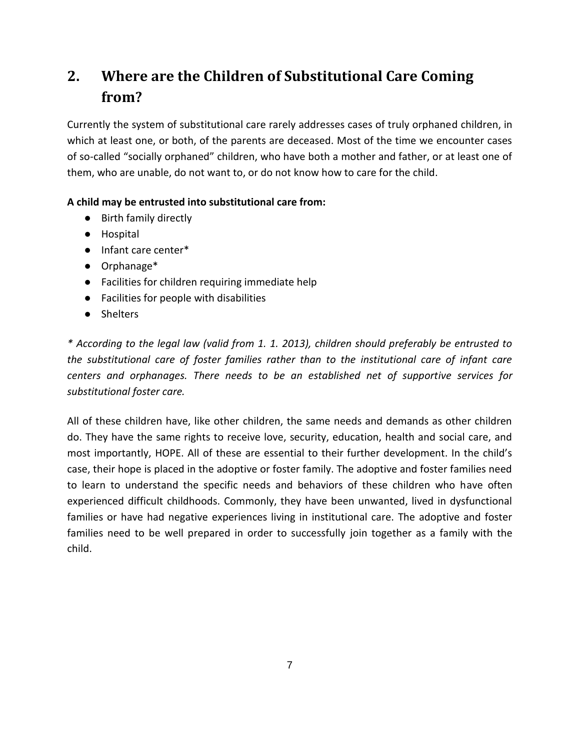# <span id="page-6-0"></span>**2. Where are the Children of Substitutional Care Coming from?**

Currently the system of substitutional care rarely addresses cases of truly orphaned children, in which at least one, or both, of the parents are deceased. Most of the time we encounter cases of so-called "socially orphaned" children, who have both a mother and father, or at least one of them, who are unable, do not want to, or do not know how to care for the child.

## **A child may be entrusted into substitutional care from:**

- Birth family directly
- Hospital
- Infant care center\*
- Orphanage\*
- Facilities for children requiring immediate help
- Facilities for people with disabilities
- Shelters

*\* According to the legal law (valid from 1. 1. 2013), children should preferably be entrusted to the substitutional care of foster families rather than to the institutional care of infant care centers and orphanages. There needs to be an established net of supportive services for substitutional foster care.* 

All of these children have, like other children, the same needs and demands as other children do. They have the same rights to receive love, security, education, health and social care, and most importantly, HOPE. All of these are essential to their further development. In the child's case, their hope is placed in the adoptive or foster family. The adoptive and foster families need to learn to understand the specific needs and behaviors of these children who have often experienced difficult childhoods. Commonly, they have been unwanted, lived in dysfunctional families or have had negative experiences living in institutional care. The adoptive and foster families need to be well prepared in order to successfully join together as a family with the child.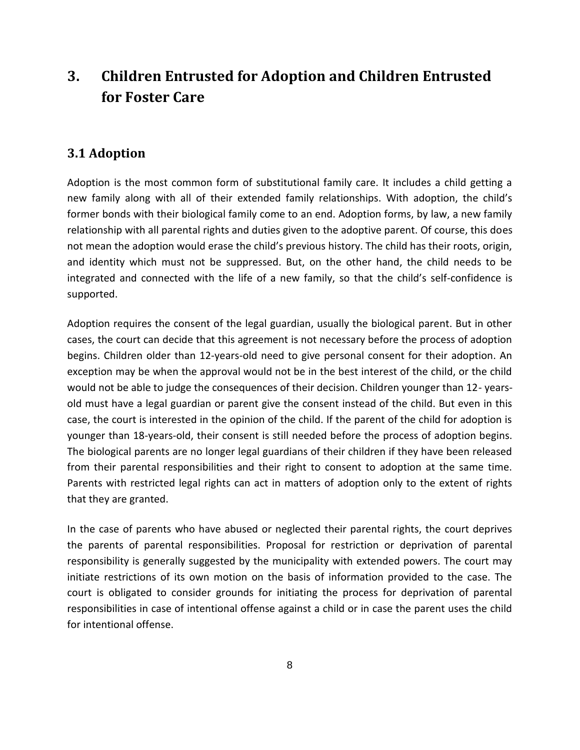# <span id="page-7-0"></span>**3. Children Entrusted for Adoption and Children Entrusted for Foster Care**

## **3.1 Adoption**

Adoption is the most common form of substitutional family care. It includes a child getting a new family along with all of their extended family relationships. With adoption, the child's former bonds with their biological family come to an end. Adoption forms, by law, a new family relationship with all parental rights and duties given to the adoptive parent. Of course, this does not mean the adoption would erase the child's previous history. The child has their roots, origin, and identity which must not be suppressed. But, on the other hand, the child needs to be integrated and connected with the life of a new family, so that the child's self-confidence is supported.

Adoption requires the consent of the legal guardian, usually the biological parent. But in other cases, the court can decide that this agreement is not necessary before the process of adoption begins. Children older than 12-years-old need to give personal consent for their adoption. An exception may be when the approval would not be in the best interest of the child, or the child would not be able to judge the consequences of their decision. Children younger than 12- yearsold must have a legal guardian or parent give the consent instead of the child. But even in this case, the court is interested in the opinion of the child. If the parent of the child for adoption is younger than 18-years-old, their consent is still needed before the process of adoption begins. The biological parents are no longer legal guardians of their children if they have been released from their parental responsibilities and their right to consent to adoption at the same time. Parents with restricted legal rights can act in matters of adoption only to the extent of rights that they are granted.

In the case of parents who have abused or neglected their parental rights, the court deprives the parents of parental responsibilities. Proposal for restriction or deprivation of parental responsibility is generally suggested by the municipality with extended powers. The court may initiate restrictions of its own motion on the basis of information provided to the case. The court is obligated to consider grounds for initiating the process for deprivation of parental responsibilities in case of intentional offense against a child or in case the parent uses the child for intentional offense.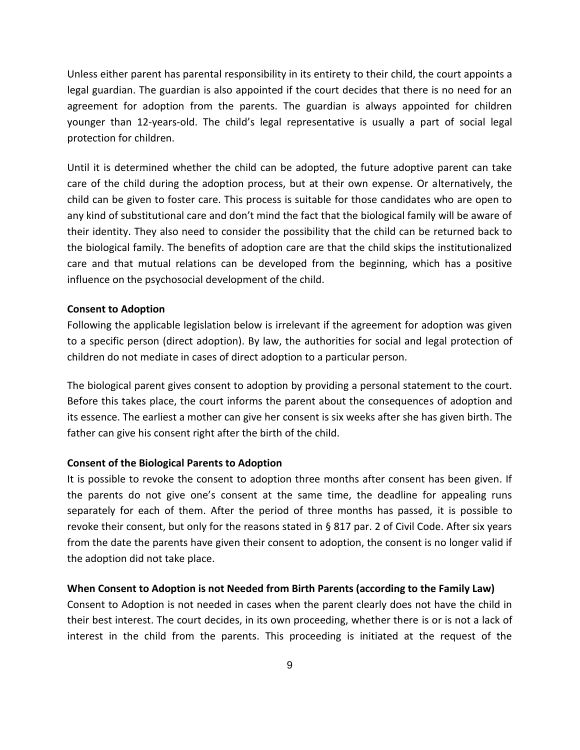Unless either parent has parental responsibility in its entirety to their child, the court appoints a legal guardian. The guardian is also appointed if the court decides that there is no need for an agreement for adoption from the parents. The guardian is always appointed for children younger than 12-years-old. The child's legal representative is usually a part of social legal protection for children.

Until it is determined whether the child can be adopted, the future adoptive parent can take care of the child during the adoption process, but at their own expense. Or alternatively, the child can be given to foster care. This process is suitable for those candidates who are open to any kind of substitutional care and don't mind the fact that the biological family will be aware of their identity. They also need to consider the possibility that the child can be returned back to the biological family. The benefits of adoption care are that the child skips the institutionalized care and that mutual relations can be developed from the beginning, which has a positive influence on the psychosocial development of the child.

#### **Consent to Adoption**

Following the applicable legislation below is irrelevant if the agreement for adoption was given to a specific person (direct adoption). By law, the authorities for social and legal protection of children do not mediate in cases of direct adoption to a particular person.

The biological parent gives consent to adoption by providing a personal statement to the court. Before this takes place, the court informs the parent about the consequences of adoption and its essence. The earliest a mother can give her consent is six weeks after she has given birth. The father can give his consent right after the birth of the child.

#### **Consent of the Biological Parents to Adoption**

It is possible to revoke the consent to adoption three months after consent has been given. If the parents do not give one's consent at the same time, the deadline for appealing runs separately for each of them. After the period of three months has passed, it is possible to revoke their consent, but only for the reasons stated in § 817 par. 2 of Civil Code. After six years from the date the parents have given their consent to adoption, the consent is no longer valid if the adoption did not take place.

#### **When Consent to Adoption is not Needed from Birth Parents (according to the Family Law)**

Consent to Adoption is not needed in cases when the parent clearly does not have the child in their best interest. The court decides, in its own proceeding, whether there is or is not a lack of interest in the child from the parents. This proceeding is initiated at the request of the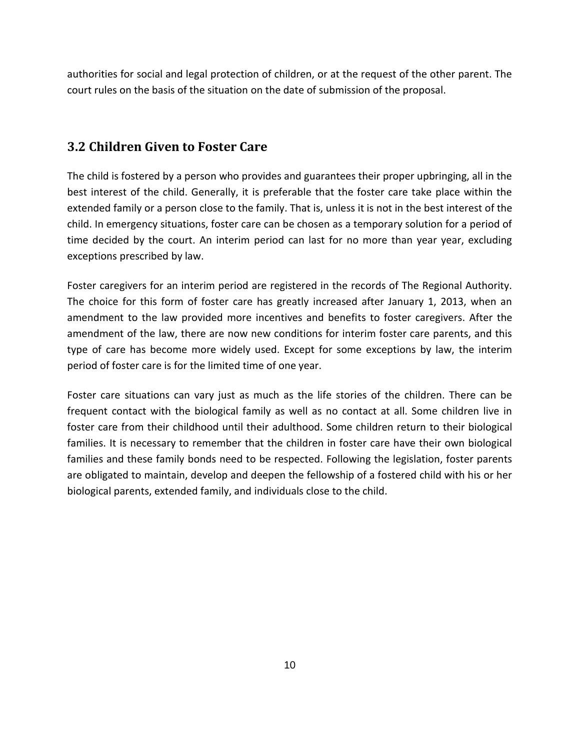authorities for social and legal protection of children, or at the request of the other parent. The court rules on the basis of the situation on the date of submission of the proposal.

## **3.2 Children Given to Foster Care**

The child is fostered by a person who provides and guarantees their proper upbringing, all in the best interest of the child. Generally, it is preferable that the foster care take place within the extended family or a person close to the family. That is, unless it is not in the best interest of the child. In emergency situations, foster care can be chosen as a temporary solution for a period of time decided by the court. An interim period can last for no more than year year, excluding exceptions prescribed by law.

Foster caregivers for an interim period are registered in the records of The Regional Authority. The choice for this form of foster care has greatly increased after January 1, 2013, when an amendment to the law provided more incentives and benefits to foster caregivers. After the amendment of the law, there are now new conditions for interim foster care parents, and this type of care has become more widely used. Except for some exceptions by law, the interim period of foster care is for the limited time of one year.

Foster care situations can vary just as much as the life stories of the children. There can be frequent contact with the biological family as well as no contact at all. Some children live in foster care from their childhood until their adulthood. Some children return to their biological families. It is necessary to remember that the children in foster care have their own biological families and these family bonds need to be respected. Following the legislation, foster parents are obligated to maintain, develop and deepen the fellowship of a fostered child with his or her biological parents, extended family, and individuals close to the child.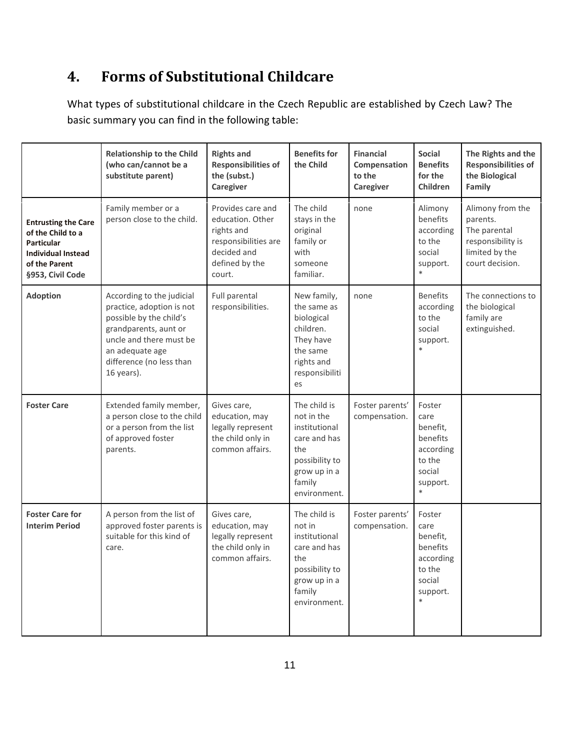# <span id="page-10-0"></span>**4. Forms of Substitutional Childcare**

What types of substitutional childcare in the Czech Republic are established by Czech Law? The basic summary you can find in the following table:

|                                                                                                                                        | <b>Relationship to the Child</b><br>(who can/cannot be a<br>substitute parent)                                                                                                                     | <b>Rights and</b><br><b>Responsibilities of</b><br>the (subst.)<br>Caregiver                                           | <b>Benefits for</b><br>the Child                                                                                               | <b>Financial</b><br>Compensation<br>to the<br>Caregiver | <b>Social</b><br><b>Benefits</b><br>for the<br><b>Children</b>                                | The Rights and the<br><b>Responsibilities of</b><br>the Biological<br>Family                           |
|----------------------------------------------------------------------------------------------------------------------------------------|----------------------------------------------------------------------------------------------------------------------------------------------------------------------------------------------------|------------------------------------------------------------------------------------------------------------------------|--------------------------------------------------------------------------------------------------------------------------------|---------------------------------------------------------|-----------------------------------------------------------------------------------------------|--------------------------------------------------------------------------------------------------------|
| <b>Entrusting the Care</b><br>of the Child to a<br><b>Particular</b><br><b>Individual Instead</b><br>of the Parent<br>§953, Civil Code | Family member or a<br>person close to the child.                                                                                                                                                   | Provides care and<br>education. Other<br>rights and<br>responsibilities are<br>decided and<br>defined by the<br>court. | The child<br>stays in the<br>original<br>family or<br>with<br>someone<br>familiar.                                             | none                                                    | Alimony<br>benefits<br>according<br>to the<br>social<br>support.                              | Alimony from the<br>parents.<br>The parental<br>responsibility is<br>limited by the<br>court decision. |
| <b>Adoption</b>                                                                                                                        | According to the judicial<br>practice, adoption is not<br>possible by the child's<br>grandparents, aunt or<br>uncle and there must be<br>an adequate age<br>difference (no less than<br>16 years). | Full parental<br>responsibilities.                                                                                     | New family,<br>the same as<br>biological<br>children.<br>They have<br>the same<br>rights and<br>responsibiliti<br>es           | none                                                    | <b>Benefits</b><br>according<br>to the<br>social<br>support.                                  | The connections to<br>the biological<br>family are<br>extinguished.                                    |
| <b>Foster Care</b>                                                                                                                     | Extended family member,<br>a person close to the child<br>or a person from the list<br>of approved foster<br>parents.                                                                              | Gives care,<br>education, may<br>legally represent<br>the child only in<br>common affairs.                             | The child is<br>not in the<br>institutional<br>care and has<br>the<br>possibility to<br>grow up in a<br>family<br>environment. | Foster parents'<br>compensation.                        | Foster<br>care<br>benefit,<br>benefits<br>according<br>to the<br>social<br>support.<br>$\ast$ |                                                                                                        |
| <b>Foster Care for</b><br><b>Interim Period</b>                                                                                        | A person from the list of<br>approved foster parents is<br>suitable for this kind of<br>care.                                                                                                      | Gives care,<br>education, may<br>legally represent<br>the child only in<br>common affairs.                             | The child is<br>not in<br>institutional<br>care and has<br>the<br>possibility to<br>grow up in a<br>family<br>environment.     | Foster parents'<br>compensation.                        | Foster<br>care<br>benefit,<br>benefits<br>according<br>to the<br>social<br>support.           |                                                                                                        |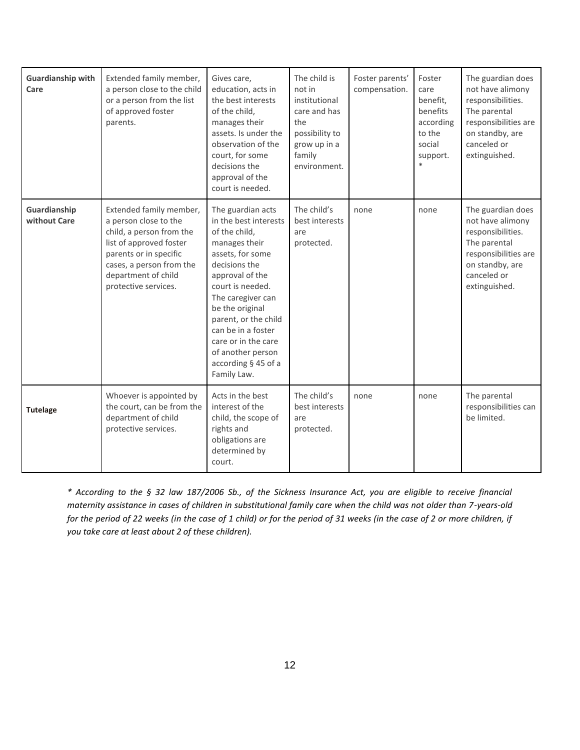| <b>Guardianship with</b><br>Care | Extended family member,<br>a person close to the child<br>or a person from the list<br>of approved foster<br>parents.                                                                                        | Gives care,<br>education, acts in<br>the best interests<br>of the child,<br>manages their<br>assets. Is under the<br>observation of the<br>court, for some<br>decisions the<br>approval of the<br>court is needed.                                                                                                               | The child is<br>not in<br>institutional<br>care and has<br>the<br>possibility to<br>grow up in a<br>family<br>environment. | Foster parents'<br>compensation. | Foster<br>care<br>benefit,<br>benefits<br>according<br>to the<br>social<br>support.<br>$\ast$ | The guardian does<br>not have alimony<br>responsibilities.<br>The parental<br>responsibilities are<br>on standby, are<br>canceled or<br>extinguished. |
|----------------------------------|--------------------------------------------------------------------------------------------------------------------------------------------------------------------------------------------------------------|----------------------------------------------------------------------------------------------------------------------------------------------------------------------------------------------------------------------------------------------------------------------------------------------------------------------------------|----------------------------------------------------------------------------------------------------------------------------|----------------------------------|-----------------------------------------------------------------------------------------------|-------------------------------------------------------------------------------------------------------------------------------------------------------|
| Guardianship<br>without Care     | Extended family member,<br>a person close to the<br>child, a person from the<br>list of approved foster<br>parents or in specific<br>cases, a person from the<br>department of child<br>protective services. | The guardian acts<br>in the best interests<br>of the child,<br>manages their<br>assets, for some<br>decisions the<br>approval of the<br>court is needed.<br>The caregiver can<br>be the original<br>parent, or the child<br>can be in a foster<br>care or in the care<br>of another person<br>according § 45 of a<br>Family Law. | The child's<br>best interests<br>are<br>protected.                                                                         | none                             | none                                                                                          | The guardian does<br>not have alimony<br>responsibilities.<br>The parental<br>responsibilities are<br>on standby, are<br>canceled or<br>extinguished. |
| <b>Tutelage</b>                  | Whoever is appointed by<br>the court, can be from the<br>department of child<br>protective services.                                                                                                         | Acts in the best<br>interest of the<br>child, the scope of<br>rights and<br>obligations are<br>determined by<br>court.                                                                                                                                                                                                           | The child's<br>best interests<br>are<br>protected.                                                                         | none                             | none                                                                                          | The parental<br>responsibilities can<br>be limited.                                                                                                   |

*\* According to the § 32 law 187/2006 Sb., of the Sickness Insurance Act, you are eligible to receive financial maternity assistance in cases of children in substitutional family care when the child was not older than 7-years-old for the period of 22 weeks (in the case of 1 child) or for the period of 31 weeks (in the case of 2 or more children, if you take care at least about 2 of these children).*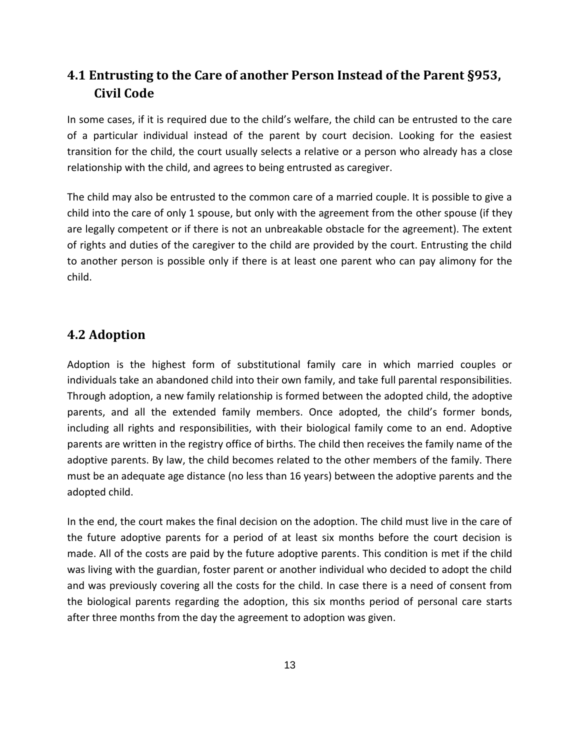## **4.1 Entrusting to the Care of another Person Instead of the Parent §953, Civil Code**

In some cases, if it is required due to the child's welfare, the child can be entrusted to the care of a particular individual instead of the parent by court decision. Looking for the easiest transition for the child, the court usually selects a relative or a person who already has a close relationship with the child, and agrees to being entrusted as caregiver.

The child may also be entrusted to the common care of a married couple. It is possible to give a child into the care of only 1 spouse, but only with the agreement from the other spouse (if they are legally competent or if there is not an unbreakable obstacle for the agreement). The extent of rights and duties of the caregiver to the child are provided by the court. Entrusting the child to another person is possible only if there is at least one parent who can pay alimony for the child.

## **4.2 Adoption**

Adoption is the highest form of substitutional family care in which married couples or individuals take an abandoned child into their own family, and take full parental responsibilities. Through adoption, a new family relationship is formed between the adopted child, the adoptive parents, and all the extended family members. Once adopted, the child's former bonds, including all rights and responsibilities, with their biological family come to an end. Adoptive parents are written in the registry office of births. The child then receives the family name of the adoptive parents. By law, the child becomes related to the other members of the family. There must be an adequate age distance (no less than 16 years) between the adoptive parents and the adopted child.

In the end, the court makes the final decision on the adoption. The child must live in the care of the future adoptive parents for a period of at least six months before the court decision is made. All of the costs are paid by the future adoptive parents. This condition is met if the child was living with the guardian, foster parent or another individual who decided to adopt the child and was previously covering all the costs for the child. In case there is a need of consent from the biological parents regarding the adoption, this six months period of personal care starts after three months from the day the agreement to adoption was given.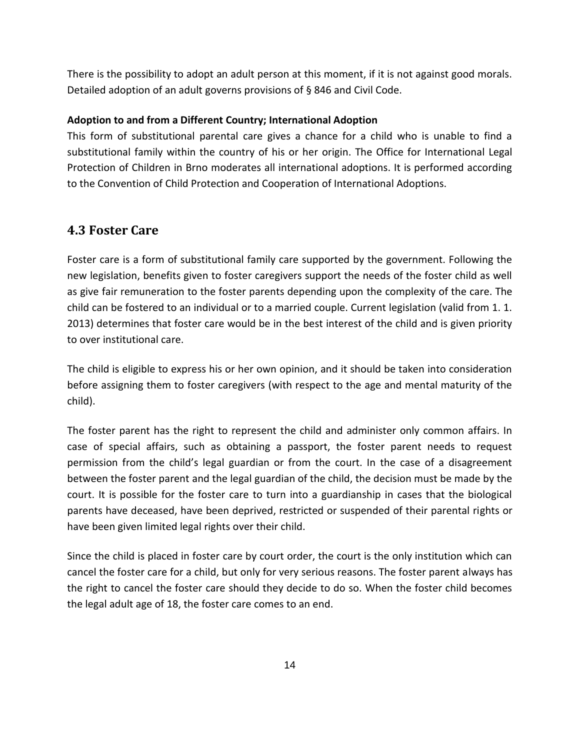There is the possibility to adopt an adult person at this moment, if it is not against good morals. Detailed adoption of an adult governs provisions of § 846 and Civil Code.

### **Adoption to and from a Different Country; International Adoption**

This form of substitutional parental care gives a chance for a child who is unable to find a substitutional family within the country of his or her origin. The Office for International Legal Protection of Children in Brno moderates all international adoptions. It is performed according to the Convention of Child Protection and Cooperation of International Adoptions.

## **4.3 Foster Care**

Foster care is a form of substitutional family care supported by the government. Following the new legislation, benefits given to foster caregivers support the needs of the foster child as well as give fair remuneration to the foster parents depending upon the complexity of the care. The child can be fostered to an individual or to a married couple. Current legislation (valid from 1. 1. 2013) determines that foster care would be in the best interest of the child and is given priority to over institutional care.

The child is eligible to express his or her own opinion, and it should be taken into consideration before assigning them to foster caregivers (with respect to the age and mental maturity of the child).

The foster parent has the right to represent the child and administer only common affairs. In case of special affairs, such as obtaining a passport, the foster parent needs to request permission from the child's legal guardian or from the court. In the case of a disagreement between the foster parent and the legal guardian of the child, the decision must be made by the court. It is possible for the foster care to turn into a guardianship in cases that the biological parents have deceased, have been deprived, restricted or suspended of their parental rights or have been given limited legal rights over their child.

Since the child is placed in foster care by court order, the court is the only institution which can cancel the foster care for a child, but only for very serious reasons. The foster parent always has the right to cancel the foster care should they decide to do so. When the foster child becomes the legal adult age of 18, the foster care comes to an end.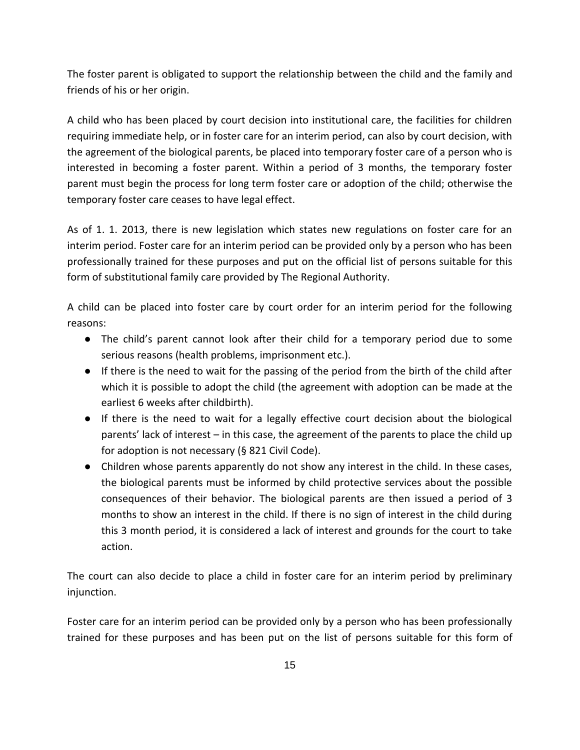The foster parent is obligated to support the relationship between the child and the family and friends of his or her origin.

A child who has been placed by court decision into institutional care, the facilities for children requiring immediate help, or in foster care for an interim period, can also by court decision, with the agreement of the biological parents, be placed into temporary foster care of a person who is interested in becoming a foster parent. Within a period of 3 months, the temporary foster parent must begin the process for long term foster care or adoption of the child; otherwise the temporary foster care ceases to have legal effect.

As of 1. 1. 2013, there is new legislation which states new regulations on foster care for an interim period. Foster care for an interim period can be provided only by a person who has been professionally trained for these purposes and put on the official list of persons suitable for this form of substitutional family care provided by The Regional Authority.

A child can be placed into foster care by court order for an interim period for the following reasons:

- The child's parent cannot look after their child for a temporary period due to some serious reasons (health problems, imprisonment etc.).
- If there is the need to wait for the passing of the period from the birth of the child after which it is possible to adopt the child (the agreement with adoption can be made at the earliest 6 weeks after childbirth).
- If there is the need to wait for a legally effective court decision about the biological parents' lack of interest – in this case, the agreement of the parents to place the child up for adoption is not necessary (§ 821 Civil Code).
- Children whose parents apparently do not show any interest in the child. In these cases, the biological parents must be informed by child protective services about the possible consequences of their behavior. The biological parents are then issued a period of 3 months to show an interest in the child. If there is no sign of interest in the child during this 3 month period, it is considered a lack of interest and grounds for the court to take action.

The court can also decide to place a child in foster care for an interim period by preliminary injunction.

Foster care for an interim period can be provided only by a person who has been professionally trained for these purposes and has been put on the list of persons suitable for this form of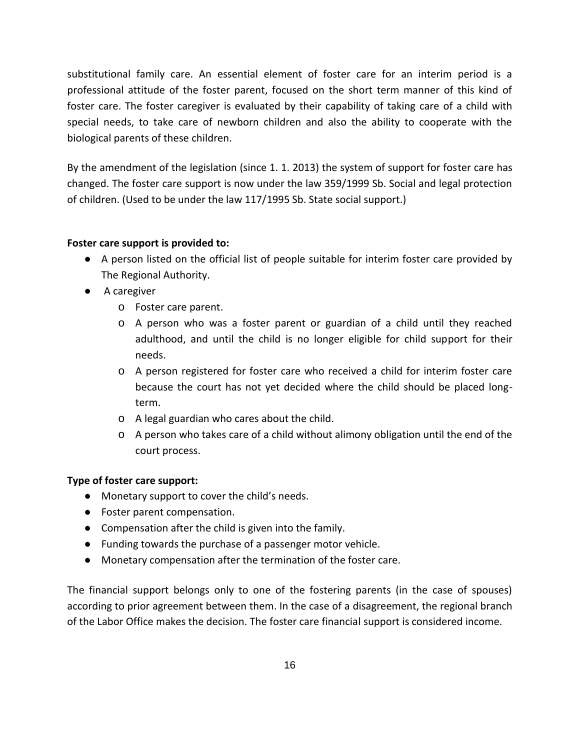substitutional family care. An essential element of foster care for an interim period is a professional attitude of the foster parent, focused on the short term manner of this kind of foster care. The foster caregiver is evaluated by their capability of taking care of a child with special needs, to take care of newborn children and also the ability to cooperate with the biological parents of these children.

By the amendment of the legislation (since 1. 1. 2013) the system of support for foster care has changed. The foster care support is now under the law 359/1999 Sb. Social and legal protection of children. (Used to be under the law 117/1995 Sb. State social support.)

### **Foster care support is provided to:**

- A person listed on the official list of people suitable for interim foster care provided by The Regional Authority.
- A caregiver
	- o Foster care parent.
	- o A person who was a foster parent or guardian of a child until they reached adulthood, and until the child is no longer eligible for child support for their needs.
	- o A person registered for foster care who received a child for interim foster care because the court has not yet decided where the child should be placed longterm.
	- o A legal guardian who cares about the child.
	- o A person who takes care of a child without alimony obligation until the end of the court process.

## **Type of foster care support:**

- Monetary support to cover the child's needs.
- Foster parent compensation.
- Compensation after the child is given into the family.
- Funding towards the purchase of a passenger motor vehicle.
- Monetary compensation after the termination of the foster care.

The financial support belongs only to one of the fostering parents (in the case of spouses) according to prior agreement between them. In the case of a disagreement, the regional branch of the Labor Office makes the decision. The foster care financial support is considered income.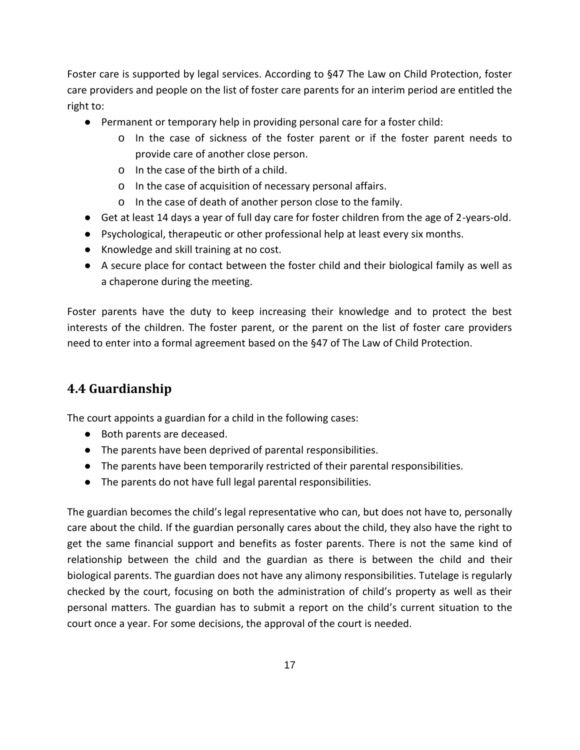Foster care is supported by legal services. According to §47 The Law on Child Protection, foster care providers and people on the list of foster care parents for an interim period are entitled the right to:

- Permanent or temporary help in providing personal care for a foster child:
	- o In the case of sickness of the foster parent or if the foster parent needs to provide care of another close person.
	- o In the case of the birth of a child.
	- o In the case of acquisition of necessary personal affairs.
	- o In the case of death of another person close to the family.
- Get at least 14 days a year of full day care for foster children from the age of 2-years-old.
- Psychological, therapeutic or other professional help at least every six months.
- Knowledge and skill training at no cost.
- A secure place for contact between the foster child and their biological family as well as a chaperone during the meeting.

Foster parents have the duty to keep increasing their knowledge and to protect the best interests of the children. The foster parent, or the parent on the list of foster care providers need to enter into a formal agreement based on the §47 of The Law of Child Protection.

# **4.4 Guardianship**

The court appoints a guardian for a child in the following cases:

- Both parents are deceased.
- The parents have been deprived of parental responsibilities.
- The parents have been temporarily restricted of their parental responsibilities.
- The parents do not have full legal parental responsibilities.

The guardian becomes the child's legal representative who can, but does not have to, personally care about the child. If the guardian personally cares about the child, they also have the right to get the same financial support and benefits as foster parents. There is not the same kind of relationship between the child and the guardian as there is between the child and their biological parents. The guardian does not have any alimony responsibilities. Tutelage is regularly checked by the court, focusing on both the administration of child's property as well as their personal matters. The guardian has to submit a report on the child's current situation to the court once a year. For some decisions, the approval of the court is needed.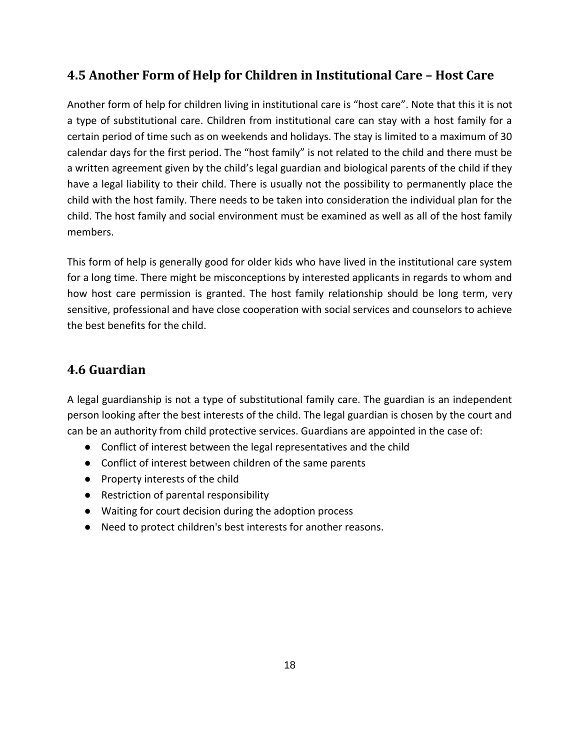## **4.5 Another Form of Help for Children in Institutional Care – Host Care**

Another form of help for children living in institutional care is "host care". Note that this it is not a type of substitutional care. Children from institutional care can stay with a host family for a certain period of time such as on weekends and holidays. The stay is limited to a maximum of 30 calendar days for the first period. The "host family" is not related to the child and there must be a written agreement given by the child's legal guardian and biological parents of the child if they have a legal liability to their child. There is usually not the possibility to permanently place the child with the host family. There needs to be taken into consideration the individual plan for the child. The host family and social environment must be examined as well as all of the host family members.

This form of help is generally good for older kids who have lived in the institutional care system for a long time. There might be misconceptions by interested applicants in regards to whom and how host care permission is granted. The host family relationship should be long term, very sensitive, professional and have close cooperation with social services and counselors to achieve the best benefits for the child.

## **4.6 Guardian**

A legal guardianship is not a type of substitutional family care. The guardian is an independent person looking after the best interests of the child. The legal guardian is chosen by the court and can be an authority from child protective services. Guardians are appointed in the case of:

- Conflict of interest between the legal representatives and the child
- Conflict of interest between children of the same parents
- Property interests of the child
- Restriction of parental responsibility
- Waiting for court decision during the adoption process
- Need to protect children's best interests for another reasons.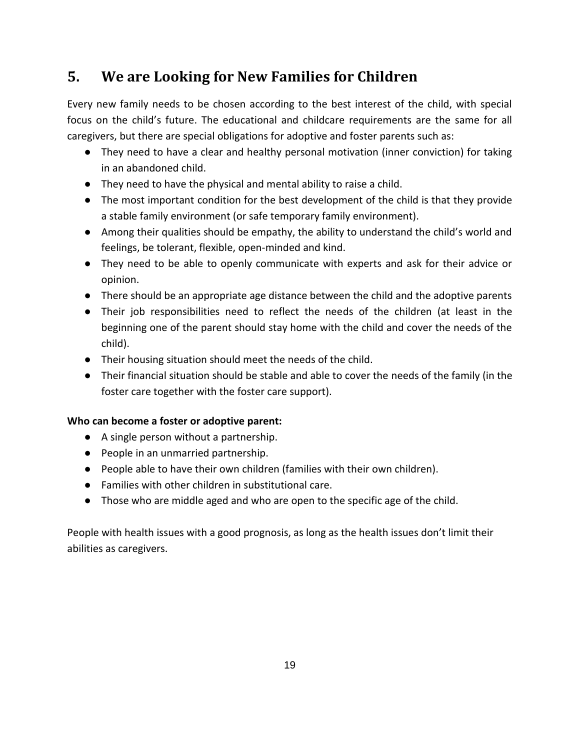# <span id="page-18-0"></span>**5. We are Looking for New Families for Children**

Every new family needs to be chosen according to the best interest of the child, with special focus on the child's future. The educational and childcare requirements are the same for all caregivers, but there are special obligations for adoptive and foster parents such as:

- They need to have a clear and healthy personal motivation (inner conviction) for taking in an abandoned child.
- They need to have the physical and mental ability to raise a child.
- The most important condition for the best development of the child is that they provide a stable family environment (or safe temporary family environment).
- Among their qualities should be empathy, the ability to understand the child's world and feelings, be tolerant, flexible, open-minded and kind.
- They need to be able to openly communicate with experts and ask for their advice or opinion.
- There should be an appropriate age distance between the child and the adoptive parents
- Their job responsibilities need to reflect the needs of the children (at least in the beginning one of the parent should stay home with the child and cover the needs of the child).
- Their housing situation should meet the needs of the child.
- Their financial situation should be stable and able to cover the needs of the family (in the foster care together with the foster care support).

## **Who can become a foster or adoptive parent:**

- A single person without a partnership.
- People in an unmarried partnership.
- People able to have their own children (families with their own children).
- Families with other children in substitutional care.
- Those who are middle aged and who are open to the specific age of the child.

People with health issues with a good prognosis, as long as the health issues don't limit their abilities as caregivers.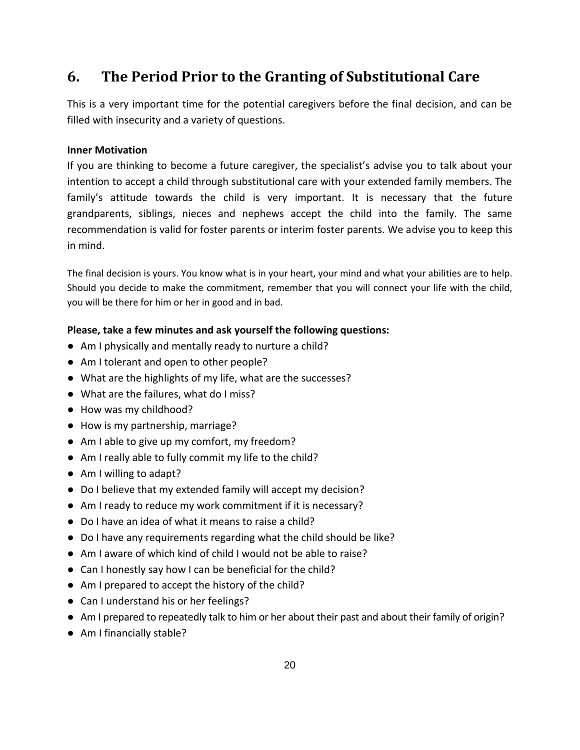# <span id="page-19-0"></span>**6. The Period Prior to the Granting of Substitutional Care**

This is a very important time for the potential caregivers before the final decision, and can be filled with insecurity and a variety of questions.

## **Inner Motivation**

If you are thinking to become a future caregiver, the specialist's advise you to talk about your intention to accept a child through substitutional care with your extended family members. The family's attitude towards the child is very important. It is necessary that the future grandparents, siblings, nieces and nephews accept the child into the family. The same recommendation is valid for foster parents or interim foster parents. We advise you to keep this in mind.

The final decision is yours. You know what is in your heart, your mind and what your abilities are to help. Should you decide to make the commitment, remember that you will connect your life with the child, you will be there for him or her in good and in bad.

## **Please, take a few minutes and ask yourself the following questions:**

- Am I physically and mentally ready to nurture a child?
- Am I tolerant and open to other people?
- What are the highlights of my life, what are the successes?
- What are the failures, what do I miss?
- How was my childhood?
- How is my partnership, marriage?
- Am I able to give up my comfort, my freedom?
- Am I really able to fully commit my life to the child?
- Am I willing to adapt?
- Do I believe that my extended family will accept my decision?
- Am I ready to reduce my work commitment if it is necessary?
- Do I have an idea of what it means to raise a child?
- Do I have any requirements regarding what the child should be like?
- Am I aware of which kind of child I would not be able to raise?
- Can I honestly say how I can be beneficial for the child?
- Am I prepared to accept the history of the child?
- Can I understand his or her feelings?
- Am I prepared to repeatedly talk to him or her about their past and about their family of origin?
- Am I financially stable?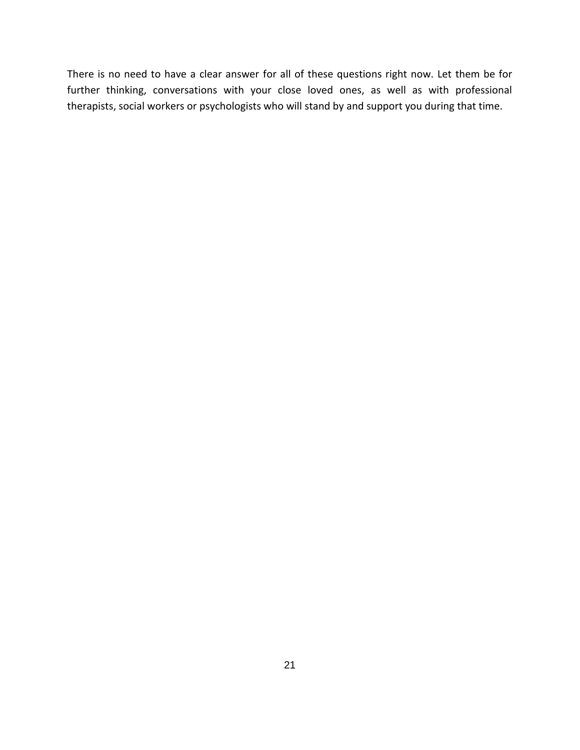There is no need to have a clear answer for all of these questions right now. Let them be for further thinking, conversations with your close loved ones, as well as with professional therapists, social workers or psychologists who will stand by and support you during that time.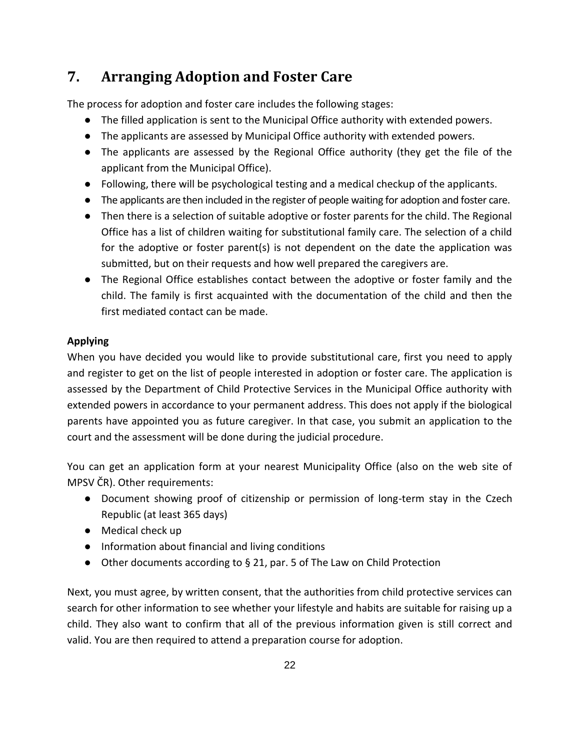# <span id="page-21-0"></span>**7. Arranging Adoption and Foster Care**

The process for adoption and foster care includes the following stages:

- The filled application is sent to the Municipal Office authority with extended powers.
- The applicants are assessed by Municipal Office authority with extended powers.
- The applicants are assessed by the Regional Office authority (they get the file of the applicant from the Municipal Office).
- Following, there will be psychological testing and a medical checkup of the applicants.
- The applicants are then included in the register of people waiting for adoption and foster care.
- Then there is a selection of suitable adoptive or foster parents for the child. The Regional Office has a list of children waiting for substitutional family care. The selection of a child for the adoptive or foster parent(s) is not dependent on the date the application was submitted, but on their requests and how well prepared the caregivers are.
- The Regional Office establishes contact between the adoptive or foster family and the child. The family is first acquainted with the documentation of the child and then the first mediated contact can be made.

## **Applying**

When you have decided you would like to provide substitutional care, first you need to apply and register to get on the list of people interested in adoption or foster care. The application is assessed by the Department of Child Protective Services in the Municipal Office authority with extended powers in accordance to your permanent address. This does not apply if the biological parents have appointed you as future caregiver. In that case, you submit an application to the court and the assessment will be done during the judicial procedure.

You can get an application form at your nearest Municipality Office (also on the web site of MPSV ČR). Other requirements:

- Document showing proof of citizenship or permission of long-term stay in the Czech Republic (at least 365 days)
- Medical check up
- Information about financial and living conditions
- Other documents according to § 21, par. 5 of The Law on Child Protection

Next, you must agree, by written consent, that the authorities from child protective services can search for other information to see whether your lifestyle and habits are suitable for raising up a child. They also want to confirm that all of the previous information given is still correct and valid. You are then required to attend a preparation course for adoption.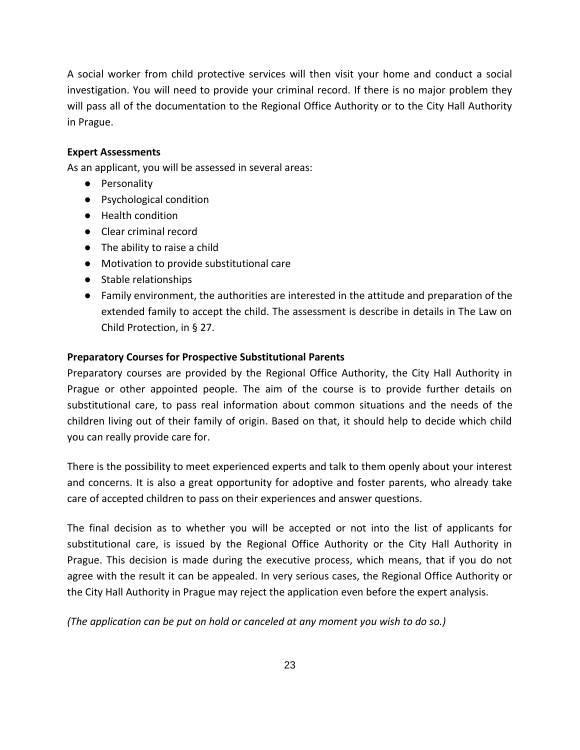A social worker from child protective services will then visit your home and conduct a social investigation. You will need to provide your criminal record. If there is no major problem they will pass all of the documentation to the Regional Office Authority or to the City Hall Authority in Prague.

#### **Expert Assessments**

As an applicant, you will be assessed in several areas:

- Personality
- Psychological condition
- Health condition
- Clear criminal record
- The ability to raise a child
- Motivation to provide substitutional care
- Stable relationships
- Family environment, the authorities are interested in the attitude and preparation of the extended family to accept the child. The assessment is describe in details in The Law on Child Protection, in § 27.

#### **Preparatory Courses for Prospective Substitutional Parents**

Preparatory courses are provided by the Regional Office Authority, the City Hall Authority in Prague or other appointed people. The aim of the course is to provide further details on substitutional care, to pass real information about common situations and the needs of the children living out of their family of origin. Based on that, it should help to decide which child you can really provide care for.

There is the possibility to meet experienced experts and talk to them openly about your interest and concerns. It is also a great opportunity for adoptive and foster parents, who already take care of accepted children to pass on their experiences and answer questions.

The final decision as to whether you will be accepted or not into the list of applicants for substitutional care, is issued by the Regional Office Authority or the City Hall Authority in Prague. This decision is made during the executive process, which means, that if you do not agree with the result it can be appealed. In very serious cases, the Regional Office Authority or the City Hall Authority in Prague may reject the application even before the expert analysis.

*(The application can be put on hold or canceled at any moment you wish to do so.)*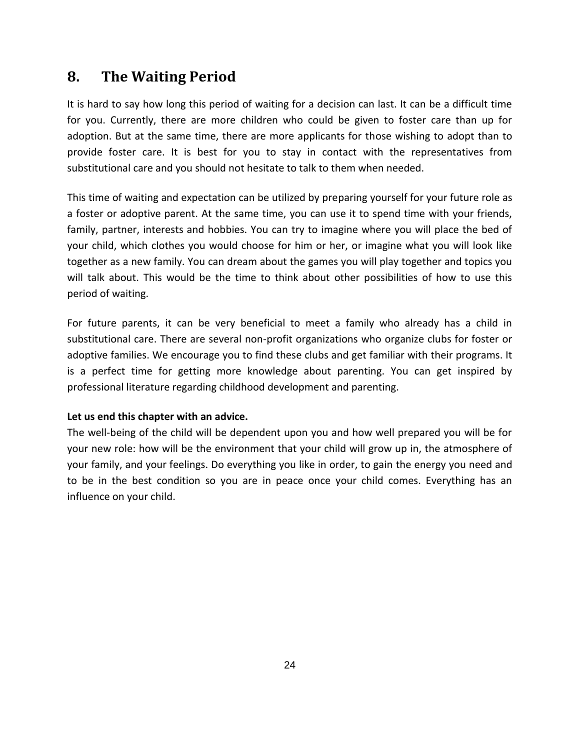# <span id="page-23-0"></span>**8. The Waiting Period**

It is hard to say how long this period of waiting for a decision can last. It can be a difficult time for you. Currently, there are more children who could be given to foster care than up for adoption. But at the same time, there are more applicants for those wishing to adopt than to provide foster care. It is best for you to stay in contact with the representatives from substitutional care and you should not hesitate to talk to them when needed.

This time of waiting and expectation can be utilized by preparing yourself for your future role as a foster or adoptive parent. At the same time, you can use it to spend time with your friends, family, partner, interests and hobbies. You can try to imagine where you will place the bed of your child, which clothes you would choose for him or her, or imagine what you will look like together as a new family. You can dream about the games you will play together and topics you will talk about. This would be the time to think about other possibilities of how to use this period of waiting.

For future parents, it can be very beneficial to meet a family who already has a child in substitutional care. There are several non-profit organizations who organize clubs for foster or adoptive families. We encourage you to find these clubs and get familiar with their programs. It is a perfect time for getting more knowledge about parenting. You can get inspired by professional literature regarding childhood development and parenting.

### **Let us end this chapter with an advice.**

The well-being of the child will be dependent upon you and how well prepared you will be for your new role: how will be the environment that your child will grow up in, the atmosphere of your family, and your feelings. Do everything you like in order, to gain the energy you need and to be in the best condition so you are in peace once your child comes. Everything has an influence on your child.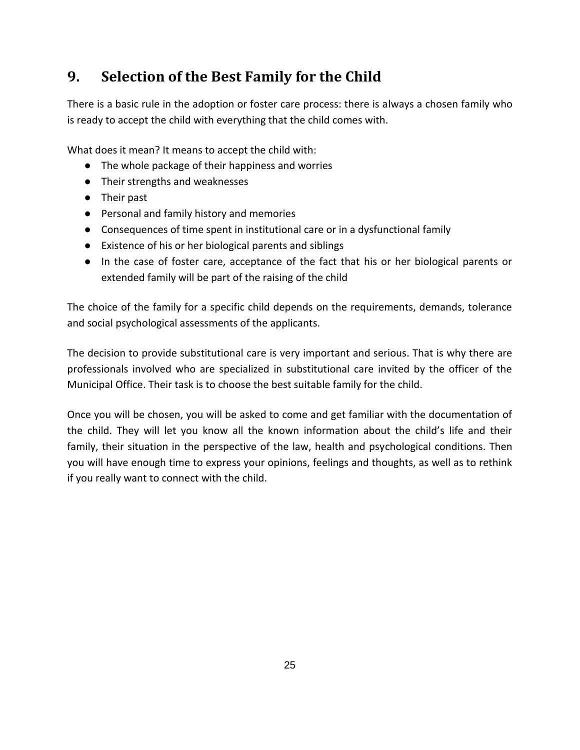# <span id="page-24-0"></span>**9. Selection of the Best Family for the Child**

There is a basic rule in the adoption or foster care process: there is always a chosen family who is ready to accept the child with everything that the child comes with.

What does it mean? It means to accept the child with:

- The whole package of their happiness and worries
- Their strengths and weaknesses
- Their past
- Personal and family history and memories
- Consequences of time spent in institutional care or in a dysfunctional family
- Existence of his or her biological parents and siblings
- In the case of foster care, acceptance of the fact that his or her biological parents or extended family will be part of the raising of the child

The choice of the family for a specific child depends on the requirements, demands, tolerance and social psychological assessments of the applicants.

The decision to provide substitutional care is very important and serious. That is why there are professionals involved who are specialized in substitutional care invited by the officer of the Municipal Office. Their task is to choose the best suitable family for the child.

Once you will be chosen, you will be asked to come and get familiar with the documentation of the child. They will let you know all the known information about the child's life and their family, their situation in the perspective of the law, health and psychological conditions. Then you will have enough time to express your opinions, feelings and thoughts, as well as to rethink if you really want to connect with the child.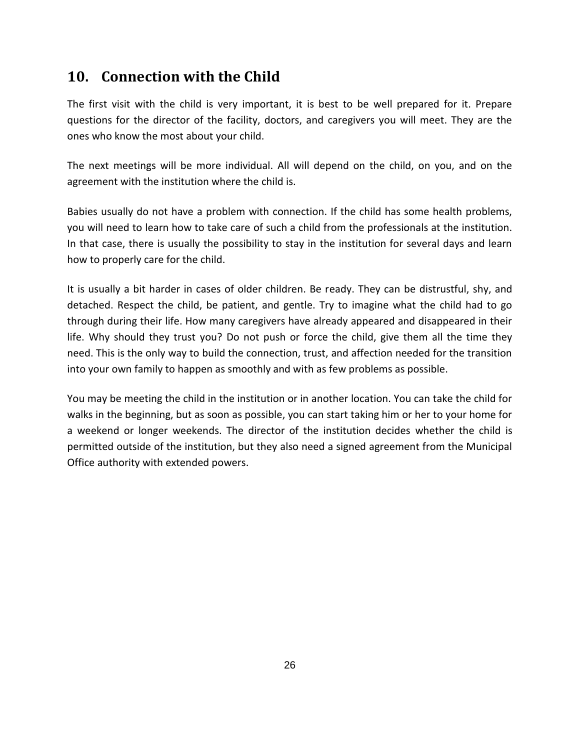# <span id="page-25-0"></span>**10. Connection with the Child**

The first visit with the child is very important, it is best to be well prepared for it. Prepare questions for the director of the facility, doctors, and caregivers you will meet. They are the ones who know the most about your child.

The next meetings will be more individual. All will depend on the child, on you, and on the agreement with the institution where the child is.

Babies usually do not have a problem with connection. If the child has some health problems, you will need to learn how to take care of such a child from the professionals at the institution. In that case, there is usually the possibility to stay in the institution for several days and learn how to properly care for the child.

It is usually a bit harder in cases of older children. Be ready. They can be distrustful, shy, and detached. Respect the child, be patient, and gentle. Try to imagine what the child had to go through during their life. How many caregivers have already appeared and disappeared in their life. Why should they trust you? Do not push or force the child, give them all the time they need. This is the only way to build the connection, trust, and affection needed for the transition into your own family to happen as smoothly and with as few problems as possible.

You may be meeting the child in the institution or in another location. You can take the child for walks in the beginning, but as soon as possible, you can start taking him or her to your home for a weekend or longer weekends. The director of the institution decides whether the child is permitted outside of the institution, but they also need a signed agreement from the Municipal Office authority with extended powers.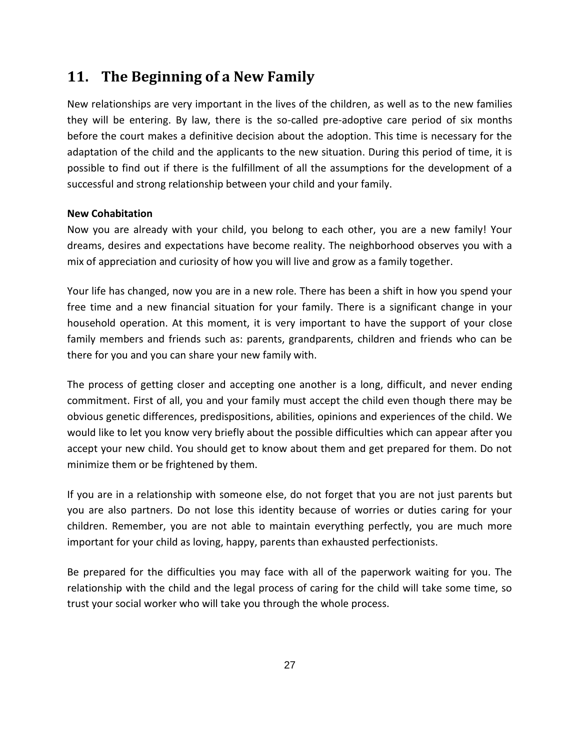# <span id="page-26-0"></span>**11. The Beginning of a New Family**

New relationships are very important in the lives of the children, as well as to the new families they will be entering. By law, there is the so-called pre-adoptive care period of six months before the court makes a definitive decision about the adoption. This time is necessary for the adaptation of the child and the applicants to the new situation. During this period of time, it is possible to find out if there is the fulfillment of all the assumptions for the development of a successful and strong relationship between your child and your family.

#### **New Cohabitation**

Now you are already with your child, you belong to each other, you are a new family! Your dreams, desires and expectations have become reality. The neighborhood observes you with a mix of appreciation and curiosity of how you will live and grow as a family together.

Your life has changed, now you are in a new role. There has been a shift in how you spend your free time and a new financial situation for your family. There is a significant change in your household operation. At this moment, it is very important to have the support of your close family members and friends such as: parents, grandparents, children and friends who can be there for you and you can share your new family with.

The process of getting closer and accepting one another is a long, difficult, and never ending commitment. First of all, you and your family must accept the child even though there may be obvious genetic differences, predispositions, abilities, opinions and experiences of the child. We would like to let you know very briefly about the possible difficulties which can appear after you accept your new child. You should get to know about them and get prepared for them. Do not minimize them or be frightened by them.

If you are in a relationship with someone else, do not forget that you are not just parents but you are also partners. Do not lose this identity because of worries or duties caring for your children. Remember, you are not able to maintain everything perfectly, you are much more important for your child as loving, happy, parents than exhausted perfectionists.

Be prepared for the difficulties you may face with all of the paperwork waiting for you. The relationship with the child and the legal process of caring for the child will take some time, so trust your social worker who will take you through the whole process.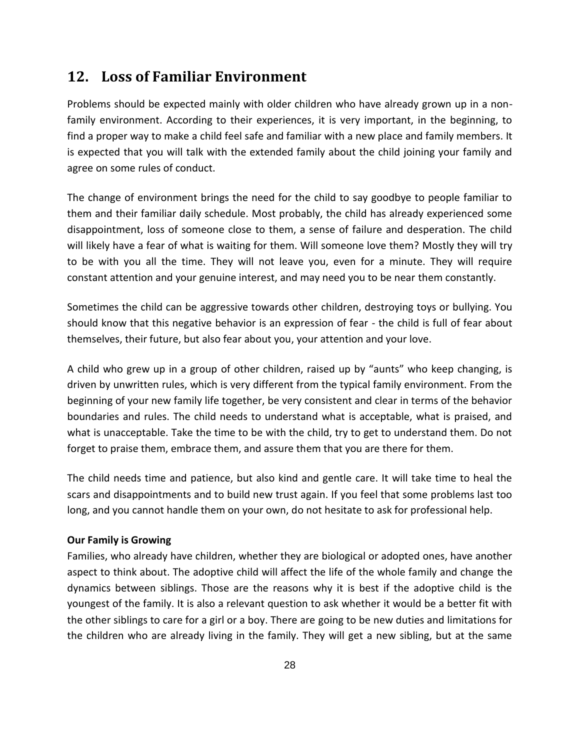## <span id="page-27-0"></span>**12. Loss of Familiar Environment**

Problems should be expected mainly with older children who have already grown up in a nonfamily environment. According to their experiences, it is very important, in the beginning, to find a proper way to make a child feel safe and familiar with a new place and family members. It is expected that you will talk with the extended family about the child joining your family and agree on some rules of conduct.

The change of environment brings the need for the child to say goodbye to people familiar to them and their familiar daily schedule. Most probably, the child has already experienced some disappointment, loss of someone close to them, a sense of failure and desperation. The child will likely have a fear of what is waiting for them. Will someone love them? Mostly they will try to be with you all the time. They will not leave you, even for a minute. They will require constant attention and your genuine interest, and may need you to be near them constantly.

Sometimes the child can be aggressive towards other children, destroying toys or bullying. You should know that this negative behavior is an expression of fear - the child is full of fear about themselves, their future, but also fear about you, your attention and your love.

A child who grew up in a group of other children, raised up by "aunts" who keep changing, is driven by unwritten rules, which is very different from the typical family environment. From the beginning of your new family life together, be very consistent and clear in terms of the behavior boundaries and rules. The child needs to understand what is acceptable, what is praised, and what is unacceptable. Take the time to be with the child, try to get to understand them. Do not forget to praise them, embrace them, and assure them that you are there for them.

The child needs time and patience, but also kind and gentle care. It will take time to heal the scars and disappointments and to build new trust again. If you feel that some problems last too long, and you cannot handle them on your own, do not hesitate to ask for professional help.

#### **Our Family is Growing**

Families, who already have children, whether they are biological or adopted ones, have another aspect to think about. The adoptive child will affect the life of the whole family and change the dynamics between siblings. Those are the reasons why it is best if the adoptive child is the youngest of the family. It is also a relevant question to ask whether it would be a better fit with the other siblings to care for a girl or a boy. There are going to be new duties and limitations for the children who are already living in the family. They will get a new sibling, but at the same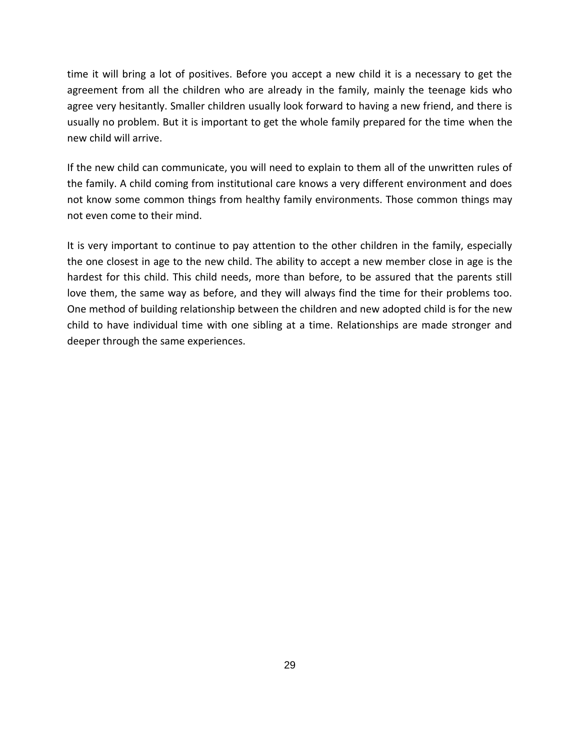time it will bring a lot of positives. Before you accept a new child it is a necessary to get the agreement from all the children who are already in the family, mainly the teenage kids who agree very hesitantly. Smaller children usually look forward to having a new friend, and there is usually no problem. But it is important to get the whole family prepared for the time when the new child will arrive.

If the new child can communicate, you will need to explain to them all of the unwritten rules of the family. A child coming from institutional care knows a very different environment and does not know some common things from healthy family environments. Those common things may not even come to their mind.

It is very important to continue to pay attention to the other children in the family, especially the one closest in age to the new child. The ability to accept a new member close in age is the hardest for this child. This child needs, more than before, to be assured that the parents still love them, the same way as before, and they will always find the time for their problems too. One method of building relationship between the children and new adopted child is for the new child to have individual time with one sibling at a time. Relationships are made stronger and deeper through the same experiences.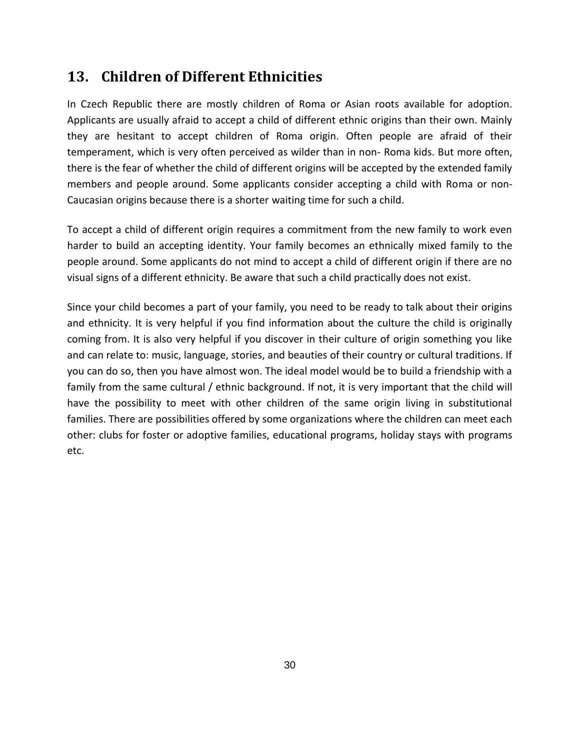# <span id="page-29-0"></span>**13. Children of Different Ethnicities**

In Czech Republic there are mostly children of Roma or Asian roots available for adoption. Applicants are usually afraid to accept a child of different ethnic origins than their own. Mainly they are hesitant to accept children of Roma origin. Often people are afraid of their temperament, which is very often perceived as wilder than in non- Roma kids. But more often, there is the fear of whether the child of different origins will be accepted by the extended family members and people around. Some applicants consider accepting a child with Roma or non-Caucasian origins because there is a shorter waiting time for such a child.

To accept a child of different origin requires a commitment from the new family to work even harder to build an accepting identity. Your family becomes an ethnically mixed family to the people around. Some applicants do not mind to accept a child of different origin if there are no visual signs of a different ethnicity. Be aware that such a child practically does not exist.

Since your child becomes a part of your family, you need to be ready to talk about their origins and ethnicity. It is very helpful if you find information about the culture the child is originally coming from. It is also very helpful if you discover in their culture of origin something you like and can relate to: music, language, stories, and beauties of their country or cultural traditions. If you can do so, then you have almost won. The ideal model would be to build a friendship with a family from the same cultural / ethnic background. If not, it is very important that the child will have the possibility to meet with other children of the same origin living in substitutional families. There are possibilities offered by some organizations where the children can meet each other: clubs for foster or adoptive families, educational programs, holiday stays with programs etc.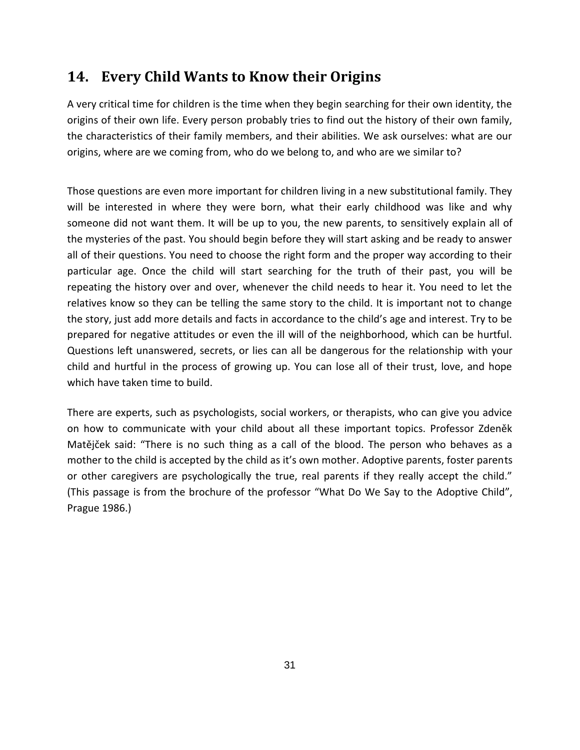# **14. Every Child Wants to Know their Origins**

<span id="page-30-0"></span>A very critical time for children is the time when they begin searching for their own identity, the origins of their own life. Every person probably tries to find out the history of their own family, the characteristics of their family members, and their abilities. We ask ourselves: what are our origins, where are we coming from, who do we belong to, and who are we similar to?

Those questions are even more important for children living in a new substitutional family. They will be interested in where they were born, what their early childhood was like and why someone did not want them. It will be up to you, the new parents, to sensitively explain all of the mysteries of the past. You should begin before they will start asking and be ready to answer all of their questions. You need to choose the right form and the proper way according to their particular age. Once the child will start searching for the truth of their past, you will be repeating the history over and over, whenever the child needs to hear it. You need to let the relatives know so they can be telling the same story to the child. It is important not to change the story, just add more details and facts in accordance to the child's age and interest. Try to be prepared for negative attitudes or even the ill will of the neighborhood, which can be hurtful. Questions left unanswered, secrets, or lies can all be dangerous for the relationship with your child and hurtful in the process of growing up. You can lose all of their trust, love, and hope which have taken time to build.

There are experts, such as psychologists, social workers, or therapists, who can give you advice on how to communicate with your child about all these important topics. Professor Zdeněk Matějček said: "There is no such thing as a call of the blood. The person who behaves as a mother to the child is accepted by the child as it's own mother. Adoptive parents, foster parents or other caregivers are psychologically the true, real parents if they really accept the child." (This passage is from the brochure of the professor "What Do We Say to the Adoptive Child", Prague 1986.)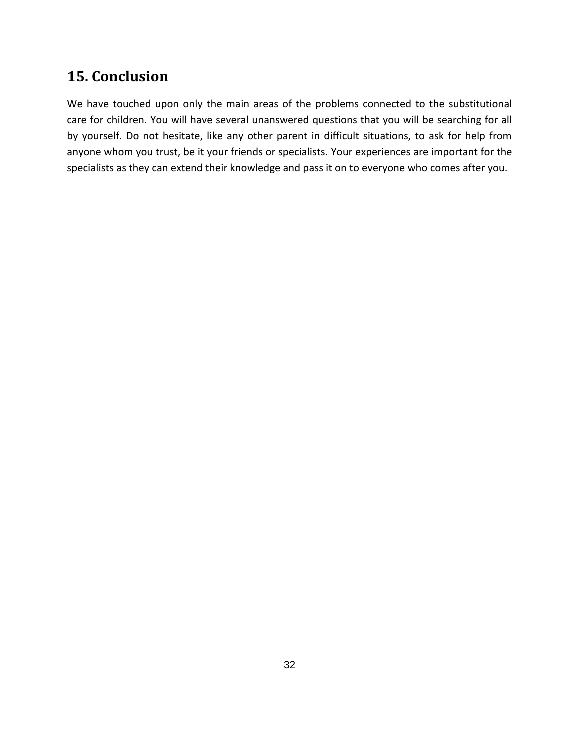# <span id="page-31-0"></span>**15. Conclusion**

We have touched upon only the main areas of the problems connected to the substitutional care for children. You will have several unanswered questions that you will be searching for all by yourself. Do not hesitate, like any other parent in difficult situations, to ask for help from anyone whom you trust, be it your friends or specialists. Your experiences are important for the specialists as they can extend their knowledge and pass it on to everyone who comes after you.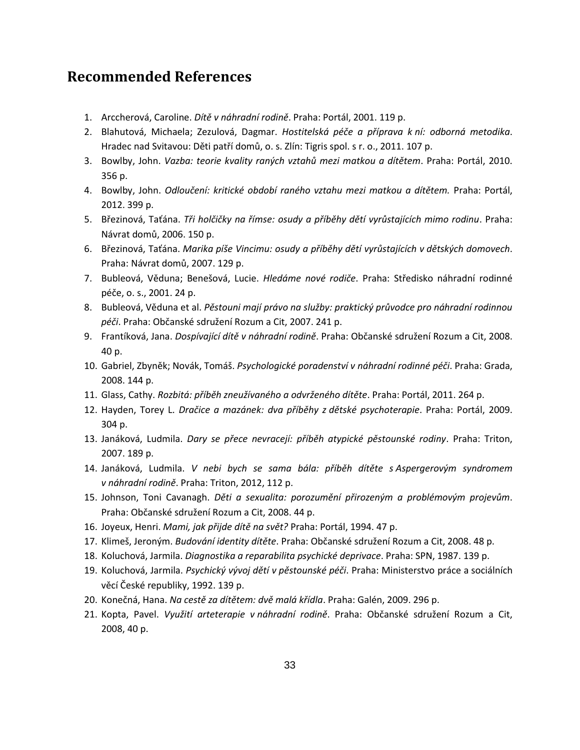# <span id="page-32-0"></span>**Recommended References**

- 1. Arccherová, Caroline. *Dítě v náhradní rodině*. Praha: Portál, 2001. 119 p.
- 2. Blahutová, Michaela; Zezulová, Dagmar. *Hostitelská péče a příprava k ní: odborná metodika*. Hradec nad Svitavou: Děti patří domů, o. s. Zlín: Tigris spol. s r. o., 2011. 107 p.
- 3. Bowlby, John. *Vazba: teorie kvality raných vztahů mezi matkou a dítětem*. Praha: Portál, 2010. 356 p.
- 4. Bowlby, John. *Odloučení: kritické období raného vztahu mezi matkou a dítětem.* Praha: Portál, 2012. 399 p.
- 5. Březinová, Taťána. *Tři holčičky na římse: osudy a příběhy dětí vyrůstajících mimo rodinu*. Praha: Návrat domů, 2006. 150 p.
- 6. Březinová, Taťána. *Marika píše Vincimu: osudy a příběhy dětí vyrůstajících v dětských domovech*. Praha: Návrat domů, 2007. 129 p.
- 7. Bubleová, Věduna; Benešová, Lucie. *Hledáme nové rodiče*. Praha: Středisko náhradní rodinné péče, o. s., 2001. 24 p.
- 8. Bubleová, Věduna et al. *Pěstouni mají právo na služby: praktický průvodce pro náhradní rodinnou péči*. Praha: Občanské sdružení Rozum a Cit, 2007. 241 p.
- 9. Frantíková, Jana. *Dospívající dítě v náhradní rodině*. Praha: Občanské sdružení Rozum a Cit, 2008. 40 p.
- 10. Gabriel, Zbyněk; Novák, Tomáš. *Psychologické poradenství v náhradní rodinné péči*. Praha: Grada, 2008. 144 p.
- 11. Glass, Cathy. *Rozbitá: příběh zneužívaného a odvrženého dítěte*. Praha: Portál, 2011. 264 p.
- 12. Hayden, Torey L. *Dračice a mazánek: dva příběhy z dětské psychoterapie*. Praha: Portál, 2009. 304 p.
- 13. Janáková, Ludmila. *Dary se přece nevracejí: příběh atypické pěstounské rodiny*. Praha: Triton, 2007. 189 p.
- 14. Janáková, Ludmila. *V nebi bych se sama bála: příběh dítěte s Aspergerovým syndromem v náhradní rodině*. Praha: Triton, 2012, 112 p.
- 15. Johnson, Toni Cavanagh. *Děti a sexualita: porozumění přirozeným a problémovým projevům*. Praha: Občanské sdružení Rozum a Cit, 2008. 44 p.
- 16. Joyeux, Henri. *Mami, jak přijde dítě na svět?* Praha: Portál, 1994. 47 p.
- 17. Klimeš, Jeroným. *Budování identity dítěte*. Praha: Občanské sdružení Rozum a Cit, 2008. 48 p.
- 18. Koluchová, Jarmila. *Diagnostika a reparabilita psychické deprivace*. Praha: SPN, 1987. 139 p.
- 19. Koluchová, Jarmila. *Psychický vývoj dětí v pěstounské péči*. Praha: Ministerstvo práce a sociálních věcí České republiky, 1992. 139 p.
- 20. Konečná, Hana. *Na cestě za dítětem: dvě malá křídla*. Praha: Galén, 2009. 296 p.
- 21. Kopta, Pavel. *Využití arteterapie v náhradní rodině*. Praha: Občanské sdružení Rozum a Cit, 2008, 40 p.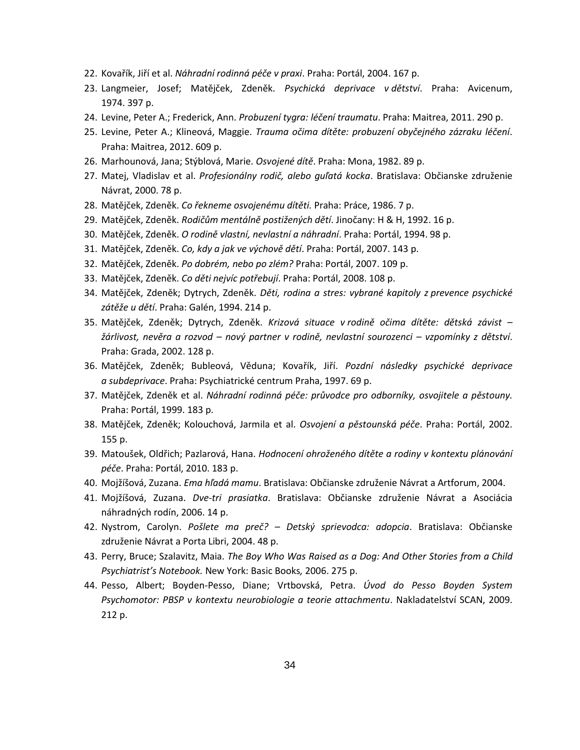- 22. Kovařík, Jiří et al. *Náhradní rodinná péče v praxi*. Praha: Portál, 2004. 167 p.
- 23. Langmeier, Josef; Matějček, Zdeněk. *Psychická deprivace v dětství*. Praha: Avicenum, 1974. 397 p.
- 24. Levine, Peter A.; Frederick, Ann. *Probuzení tygra: léčení traumatu*. Praha: Maitrea, 2011. 290 p.
- 25. Levine, Peter A.; Klineová, Maggie. *Trauma očima dítěte: probuzení obyčejného zázraku léčení*. Praha: Maitrea, 2012. 609 p.
- 26. Marhounová, Jana; Stýblová, Marie. *Osvojené dítě*. Praha: Mona, 1982. 89 p.
- 27. Matej, Vladislav et al. *[Profesionálny rodič, alebo guľatá kocka](http://web.changenet.sk/aa/files/4221973d3c28b786b2f06b680c02cab0/publikacie/ProfesRodic_GulataKocka_TLAC.pdf)*. Bratislava: Občianske združenie Návrat, 2000. 78 p.
- 28. Matějček, Zdeněk. *Co řekneme osvojenému dítěti.* Praha: Práce, 1986. 7 p.
- 29. Matějček, Zdeněk. *Rodičům mentálně postižených dětí*. Jinočany: H & H, 1992. 16 p.
- 30. Matějček, Zdeněk. *O rodině vlastní, nevlastní a náhradní*. Praha: Portál, 1994. 98 p.
- 31. Matějček, Zdeněk. *Co, kdy a jak ve výchově dětí*. Praha: Portál, 2007. 143 p.
- 32. Matějček, Zdeněk. *Po dobrém, nebo po zlém?* Praha: Portál, 2007. 109 p.
- 33. Matějček, Zdeněk. *Co děti nejvíc potřebují*. Praha: Portál, 2008. 108 p.
- 34. Matějček, Zdeněk; Dytrych, Zdeněk. *Děti, rodina a stres: vybrané kapitoly z prevence psychické zátěže u dětí*. Praha: Galén, 1994. 214 p.
- 35. Matějček, Zdeněk; Dytrych, Zdeněk. *Krizová situace v rodině očima dítěte: dětská závist – žárlivost, nevěra a rozvod – nový partner v rodině, nevlastní sourozenci – vzpomínky z dětství*. Praha: Grada, 2002. 128 p.
- 36. Matějček, Zdeněk; Bubleová, Věduna; Kovařík, Jiří. *Pozdní následky psychické deprivace a subdeprivace*. Praha: Psychiatrické centrum Praha, 1997. 69 p.
- 37. Matějček, Zdeněk et al. *Náhradní rodinná péče: průvodce pro odborníky, osvojitele a pěstouny.*  Praha: Portál, 1999. 183 p.
- 38. Matějček, Zdeněk; Kolouchová, Jarmila et al. *Osvojení a pěstounská péče*. Praha: Portál, 2002. 155 p.
- 39. Matoušek, Oldřich; Pazlarová, Hana. *Hodnocení ohroženého dítěte a rodiny v kontextu plánování péče*. Praha: Portál, 2010. 183 p.
- 40. Mojžíšová, Zuzana. *Ema hľadá mamu*. Bratislava: Občianske združenie Návrat a Artforum, 2004.
- 41. Mojžíšová, Zuzana. *Dve-tri prasiatka*. Bratislava: Občianske združenie Návrat a Asociácia náhradných rodín, 2006. 14 p.
- 42. Nystrom, Carolyn. *Pošlete ma preč? – Detský sprievodca: adopcia*. Bratislava: Občianske združenie Návrat a Porta Libri, 2004. 48 p.
- 43. Perry, Bruce; Szalavitz, Maia. *The Boy Who Was Raised as a Dog: And Other Stories from a Child Psychiatrist's Notebook.* New York: Basic Books*,* 2006. 275 p.
- 44. Pesso, Albert; Boyden-Pesso, Diane; Vrtbovská, Petra. *Úvod do Pesso Boyden System Psychomotor: PBSP v kontextu neurobiologie a teorie attachmentu*. Nakladatelství SCAN, 2009. 212 p.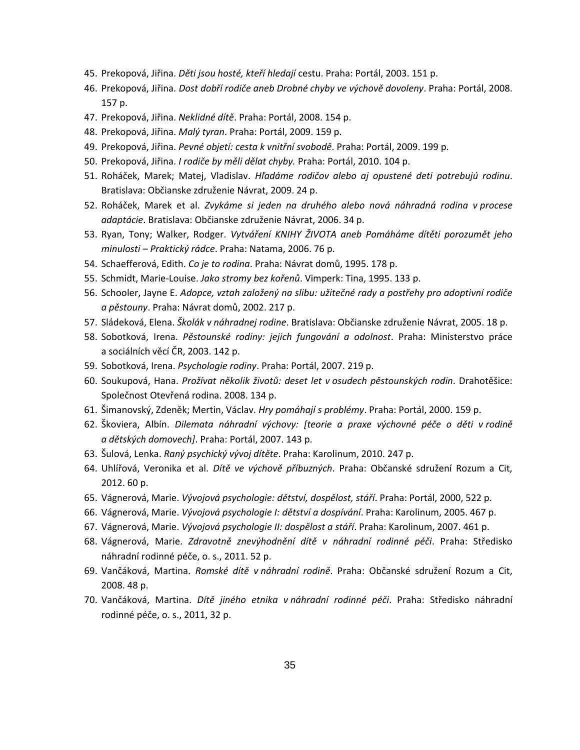- 45. Prekopová, Jiřina. *Děti jsou hosté, kteří hledají* cestu. Praha: Portál, 2003. 151 p.
- 46. Prekopová, Jiřina. *Dost dobří rodiče aneb Drobné chyby ve výchově dovoleny*. Praha: Portál, 2008. 157 p.
- 47. Prekopová, Jiřina. *Neklidné dítě*. Praha: Portál, 2008. 154 p.
- 48. Prekopová, Jiřina. *Malý tyran*. Praha: Portál, 2009. 159 p.
- 49. Prekopová, Jiřina. *Pevné objetí: cesta k vnitřní svobodě*. Praha: Portál, 2009. 199 p.
- 50. Prekopová, Jiřina. *I rodiče by měli dělat chyby.* Praha: Portál, 2010. 104 p.
- 51. Roháček, Marek; Matej, Vladislav. *[Hľadáme rodičov alebo aj opustené deti potrebujú rodinu](http://web.changenet.sk/aa/files/4221973d3c28b786b2f06b680c02cab0/publikacie/hladame_rodicov2009_final.pdf)*. Bratislava: Občianske združenie Návrat, 2009. 24 p.
- 52. Roháček, Marek et al. *Zvykáme si jeden na druhého alebo nová náhradná rodina v procese adaptácie*. Bratislava: Občianske združenie Návrat, 2006. 34 p.
- 53. Ryan, Tony; Walker, Rodger. *Vytváření KNIHY ŽIVOTA aneb Pomáháme dítěti porozumět jeho minulosti – Praktický rádce*. Praha: Natama, 2006. 76 p.
- 54. Schaefferová, Edith. *Co je to rodina*. Praha: Návrat domů, 1995. 178 p.
- 55. Schmidt, Marie-Louise. *Jako stromy bez kořenů*. Vimperk: Tina, 1995. 133 p.
- 56. Schooler, Jayne E. *Adopce, vztah založený na slibu: užitečné rady a postřehy pro adoptivní rodiče a pěstouny*. Praha: Návrat domů, 2002. 217 p.
- 57. Sládeková, Elena. *Školák v náhradnej rodine*. Bratislava: Občianske združenie Návrat, 2005. 18 p.
- 58. Sobotková, Irena. *Pěstounské rodiny: jejich fungování a odolnost*. Praha: Ministerstvo práce a sociálních věcí ČR, 2003. 142 p.
- 59. Sobotková, Irena. *Psychologie rodiny*. Praha: Portál, 2007. 219 p.
- 60. Soukupová, Hana. *Prožívat několik životů: deset let v osudech pěstounských rodin*. Drahotěšice: Společnost Otevřená rodina. 2008. 134 p.
- 61. Šimanovský, Zdeněk; Mertin, Václav. *Hry pomáhají s problémy*. Praha: Portál, 2000. 159 p.
- 62. Škoviera, Albín. *Dilemata náhradní výchovy: [teorie a praxe výchovné péče o děti v rodině a dětských domovech]*. Praha: Portál, 2007. 143 p.
- 63. Šulová, Lenka. *Raný psychický vývoj dítěte*. Praha: Karolinum, 2010. 247 p.
- 64. Uhlířová, Veronika et al. *Dítě ve výchově příbuzných*. Praha: Občanské sdružení Rozum a Cit, 2012. 60 p.
- 65. Vágnerová, Marie. *Vývojová psychologie: dětství, dospělost, stáří*. Praha: Portál, 2000, 522 p.
- 66. Vágnerová, Marie. *Vývojová psychologie I: dětství a dospívání*. Praha: Karolinum, 2005. 467 p.
- 67. Vágnerová, Marie. *Vývojová psychologie II: dospělost a stáří*. Praha: Karolinum, 2007. 461 p.
- 68. Vágnerová, Marie. *Zdravotně znevýhodnění dítě v náhradní rodinné péči*. Praha: Středisko náhradní rodinné péče, o. s., 2011. 52 p.
- 69. Vančáková, Martina. *Romské dítě v náhradní rodině*. Praha: Občanské sdružení Rozum a Cit, 2008. 48 p.
- 70. Vančáková, Martina. *Dítě jiného etnika v náhradní rodinné péči*. Praha: Středisko náhradní rodinné péče, o. s., 2011, 32 p.